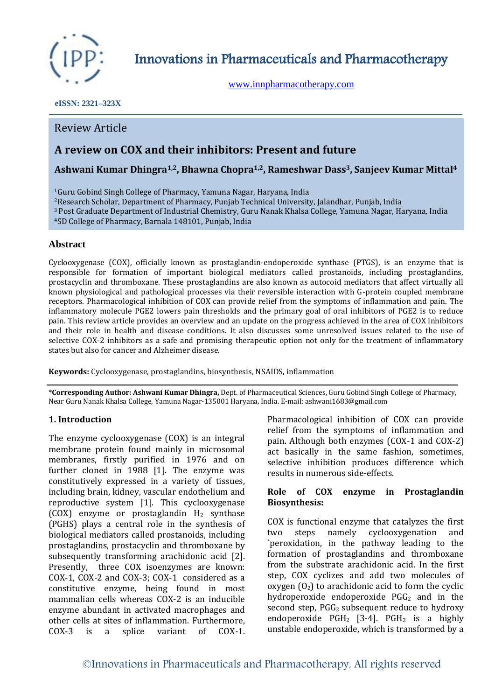

Innovations in Pharmaceuticals and Pharmacotherapy

[www.innpharmacotherapy.com](http://www.innpharmacotherapy.com/)

 **eISSN: 2321–323X**

## Review Article

# **A review on COX and their inhibitors: Present and future**

## **Ashwani Kumar Dhingra1,2, Bhawna Chopra1,2, Rameshwar Dass3, Sanjeev Kumar Mittal<sup>4</sup>**

Guru Gobind Singh College of Pharmacy, Yamuna Nagar, Haryana, India Research Scholar, Department of Pharmacy, Punjab Technical University, Jalandhar, Punjab, India Post Graduate Department of Industrial Chemistry, Guru Nanak Khalsa College, Yamuna Nagar, Haryana, India SD College of Pharmacy, Barnala 148101, Punjab, India

## **Abstract**

Cyclooxygenase (COX), officially known as prostaglandin-endoperoxide synthase (PTGS), is an enzyme that is responsible for formation of important biological mediators called prostanoids, including prostaglandins, prostacyclin and thromboxane. These prostaglandins are also known as autocoid mediators that affect virtually all known physiological and pathological processes via their reversible interaction with G-protein coupled membrane receptors. Pharmacological inhibition of COX can provide relief from the symptoms of inflammation and pain. The inflammatory molecule PGE2 lowers pain thresholds and the primary goal of oral inhibitors of PGE2 is to reduce pain. This review article provides an overview and an update on the progress achieved in the area of COX inhibitors and their role in health and disease conditions. It also discusses some unresolved issues related to the use of selective COX-2 inhibitors as a safe and promising therapeutic option not only for the treatment of inflammatory states but also for cancer and Alzheimer disease.

**Keywords:** Cyclooxygenase, prostaglandins, biosynthesis, NSAIDS, inflammation

**\*Corresponding Author: Ashwani Kumar Dhingra,** Dept. of Pharmaceutical Sciences, Guru Gobind Singh College of Pharmacy, Near Guru Nanak Khalsa College, Yamuna Nagar-135001 Haryana, India. E-mail: ashwani1683@gmail.com

## **1. Introduction**

The enzyme cyclooxygenase (COX) is an integral membrane protein found mainly in microsomal membranes, firstly purified in 1976 and on further cloned in 1988 [1]. The enzyme was constitutively expressed in a variety of tissues, including brain, kidney, vascular endothelium and reproductive system [1]. This cyclooxygenase (COX) enzyme or prostaglandin  $H_2$  synthase (PGHS) plays a central role in the synthesis of biological mediators called prostanoids, including prostaglandins, prostacyclin and thromboxane by subsequently transforming arachidonic acid [2]. Presently, three COX isoenzymes are known: COX-1, COX-2 and COX-3; COX-1 considered as a constitutive enzyme, being found in most mammalian cells whereas COX-2 is an inducible enzyme abundant in activated macrophages and other cells at sites of inflammation. Furthermore, COX-3 is a splice variant of COX-1. Pharmacological inhibition of COX can provide relief from the symptoms of inflammation and pain. Although both enzymes (COX-1 and COX-2) act basically in the same fashion, sometimes, selective inhibition produces difference which results in numerous side-effects.

#### **Role of COX enzyme in Prostaglandin Biosynthesis:**

COX is functional enzyme that catalyzes the first two steps namely cyclooxygenation and `peroxidation, in the pathway leading to the formation of prostaglandins and thromboxane from the substrate arachidonic acid. In the first step, COX cyclizes and add two molecules of oxygen  $(0_2)$  to arachidonic acid to form the cyclic hydroperoxide endoperoxide  $PGG<sub>2</sub>$  and in the second step,  $PGG_2$  subsequent reduce to hydroxy endoperoxide  $PGH_2$  [3-4].  $PGH_2$  is a highly unstable endoperoxide, which is transformed by a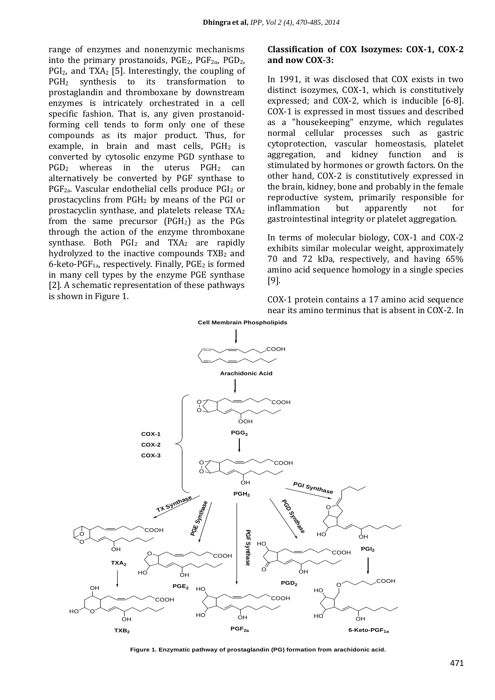range of enzymes and nonenzymic mechanisms into the primary prostanoids,  $PGE_2$ ,  $PGF_{2\alpha}$ ,  $PGD_2$ ,  $PGI<sub>2</sub>$ , and TXA<sub>2</sub> [5]. Interestingly, the coupling of PGH<sup>2</sup> synthesis to its transformation to prostaglandin and thromboxane by downstream enzymes is intricately orchestrated in a cell specific fashion. That is, any given prostanoidforming cell tends to form only one of these compounds as its major product. Thus, for example, in brain and mast cells,  $PGH<sub>2</sub>$  is converted by cytosolic enzyme PGD synthase to  $PGD<sub>2</sub>$  whereas in the uterus  $PGH<sub>2</sub>$  can alternatively be converted by PGF synthase to PGF2a. Vascular endothelial cells produce PGI<sup>2</sup> or prostacyclins from PGH<sup>2</sup> by means of the PGI or prostacyclin synthase, and platelets release TXA<sup>2</sup> from the same precursor  $(PGH<sub>2</sub>)$  as the PGs through the action of the enzyme thromboxane synthase. Both  $PGI_2$  and  $TXA_2$  are rapidly hydrolyzed to the inactive compounds  $TXB<sub>2</sub>$  and  $6$ -keto-PGF<sub>1a</sub>, respectively. Finally, PGE<sub>2</sub> is formed in many cell types by the enzyme PGE synthase [2]. A schematic representation of these pathways is shown in Figure 1.

#### **Classification of COX Isozymes: COX-1, COX-2 and now COX-3:**

In 1991, it was disclosed that COX exists in two distinct isozymes, COX-1, which is constitutively expressed; and COX-2, which is inducible [6-8]. COX-1 is expressed in most tissues and described as a "housekeeping" enzyme, which regulates normal cellular processes such as gastric cytoprotection, vascular homeostasis, platelet aggregation, and kidney function and is stimulated by hormones or growth factors. On the other hand, COX-2 is constitutively expressed in the brain, kidney, bone and probably in the female reproductive system, primarily responsible for inflammation but apparently not for gastrointestinal integrity or platelet aggregation.

In terms of molecular biology, COX-1 and COX-2 exhibits similar molecular weight, approximately 70 and 72 kDa, respectively, and having 65% amino acid sequence homology in a single species [9].

COX-1 protein contains a 17 amino acid sequence near its amino terminus that is absent in COX-2. In



**Figure 1. Enzymatic pathway of prostaglandin (PG) formation from arachidonic acid.**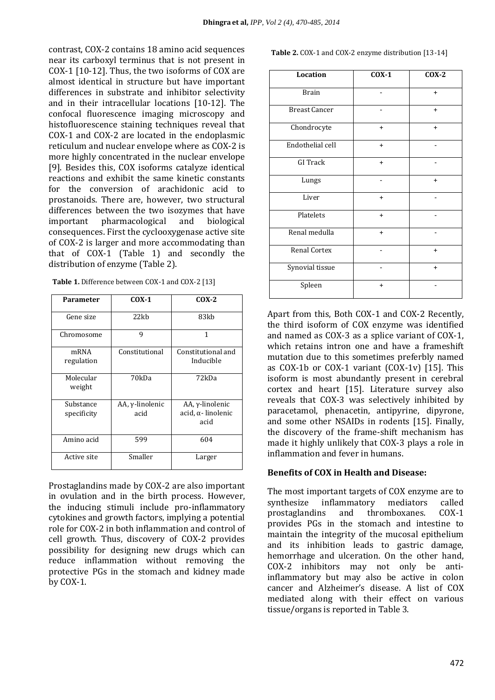contrast, COX-2 contains 18 amino acid sequences near its carboxyl terminus that is not present in COX-1 [10-12]. Thus, the two isoforms of COX are almost identical in structure but have important differences in substrate and inhibitor selectivity and in their intracellular locations [10-12]. The confocal fluorescence imaging microscopy and histofluorescence staining techniques reveal that COX-1 and COX-2 are located in the endoplasmic reticulum and nuclear envelope where as COX-2 is more highly concentrated in the nuclear envelope [9]. Besides this, COX isoforms catalyze identical reactions and exhibit the same kinetic constants for the conversion of arachidonic acid to prostanoids. There are, however, two structural differences between the two isozymes that have important pharmacological and biological consequences. First the cyclooxygenase active site of COX-2 is larger and more accommodating than that of COX-1 (Table 1) and secondly the distribution of enzyme (Table 2).

| <b>Parameter</b>         | $COX-1$                 | $COX-2$                                       |
|--------------------------|-------------------------|-----------------------------------------------|
| Gene size                | 22kb                    | 83kb                                          |
| Chromosome               | 9                       | 1                                             |
| mRNA<br>regulation       | Constitutional          | Constitutional and<br>Inducible               |
| Molecular<br>weight      | 70kDa                   | 72kDa                                         |
| Substance<br>specificity | AA, γ-linolenic<br>acid | AA, γ-linolenic<br>acid, α- linolenic<br>acid |
| Amino acid               | 599                     | 604                                           |
| Active site              | Smaller                 | Larger                                        |

**Table 1.** Difference between COX-1 and COX-2 [13]

Prostaglandins made by COX-2 are also important in ovulation and in the birth process. However, the inducing stimuli include pro-inflammatory cytokines and growth factors, implying a potential role for COX-2 in both inflammation and control of cell growth. Thus, discovery of COX-2 provides possibility for designing new drugs which can reduce inflammation without removing the protective PGs in the stomach and kidney made by COX-1.

**Table 2.** COX-1 and COX-2 enzyme distribution [13-14]

| Location             | $COX-1$   | $COX-2$   |
|----------------------|-----------|-----------|
| <b>Brain</b>         |           | $\ddot{}$ |
| <b>Breast Cancer</b> |           | $\ddot{}$ |
| Chondrocyte          | $\ddot{}$ | $\ddot{}$ |
| Endothelial cell     | $\ddot{}$ |           |
| <b>GI</b> Track      | $+$       |           |
| Lungs                |           | $\ddot{}$ |
| Liver                | $+$       |           |
| Platelets            | $+$       |           |
| Renal medulla        | $\ddot{}$ |           |
| Renal Cortex         |           | $\ddot{}$ |
| Synovial tissue      |           | $\ddot{}$ |
| Spleen               | $\ddot{}$ |           |

Apart from this, Both COX-1 and COX-2 Recently, the third isoform of COX enzyme was identified and named as COX-3 as a splice variant of COX-1, which retains intron one and have a frameshift mutation due to this sometimes preferbly named as COX-1b or COX-1 variant (COX-1v) [15]. This isoform is most abundantly present in cerebral cortex and heart [15]. Literature survey also reveals that COX-3 was selectively inhibited by paracetamol, phenacetin, antipyrine, dipyrone, and some other NSAIDs in rodents [15]. Finally, the discovery of the frame-shift mechanism has made it highly unlikely that COX-3 plays a role in inflammation and fever in humans.

#### **Benefits of COX in Health and Disease:**

The most important targets of COX enzyme are to synthesize inflammatory mediators called prostaglandins and thromboxanes. COX-1 provides PGs in the stomach and intestine to maintain the integrity of the mucosal epithelium and its inhibition leads to gastric damage, hemorrhage and ulceration. On the other hand, COX-2 inhibitors may not only be antiinflammatory but may also be active in colon cancer and Alzheimer's disease. A list of COX mediated along with their effect on various tissue/organs is reported in Table 3.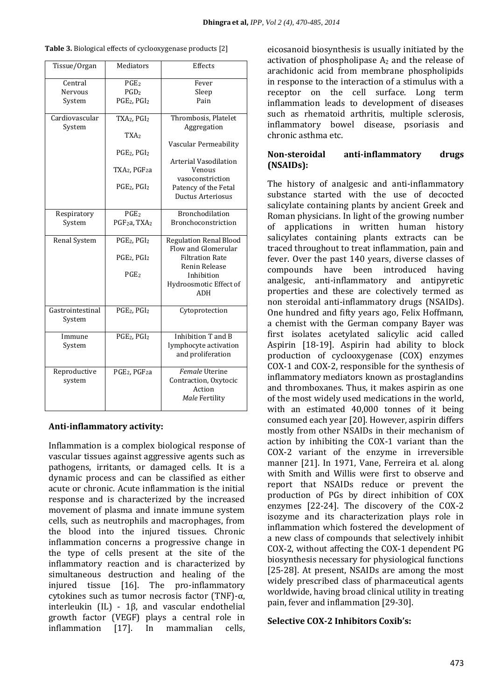| Tissue/Organ     | Mediators                             | Effects                       |
|------------------|---------------------------------------|-------------------------------|
| Central          | PGE <sub>2</sub>                      | Fever                         |
| <b>Nervous</b>   | PGD <sub>2</sub>                      | Sleep                         |
| System           | PGE <sub>2</sub> , PGI <sub>2</sub>   | Pain                          |
|                  |                                       |                               |
| Cardiovascular   | TXA2, PGI2                            | Thrombosis, Platelet          |
| System           |                                       | Aggregation                   |
|                  | TXA <sub>2</sub>                      |                               |
|                  |                                       | Vascular Permeability         |
|                  | PGE <sub>2</sub> , PGI <sub>2</sub>   |                               |
|                  |                                       | Arterial Vasodilation         |
|                  | TXA <sub>2</sub> , PGF <sub>2</sub> a | Venous                        |
|                  |                                       | vasoconstriction              |
|                  | PGE <sub>2</sub> , PGI <sub>2</sub>   | Patency of the Fetal          |
|                  |                                       | Ductus Arteriosus             |
|                  | PGE <sub>2</sub>                      | Bronchodilation               |
| Respiratory      | PGF <sub>2</sub> a, TXA <sub>2</sub>  | Bronchoconstriction           |
| System           |                                       |                               |
| Renal System     | PGE2, PGI2                            | <b>Regulation Renal Blood</b> |
|                  |                                       | Flow and Glomerular           |
|                  | PGE <sub>2</sub> , PGI <sub>2</sub>   | <b>Filtration Rate</b>        |
|                  |                                       | Renin Release                 |
|                  | PGE <sub>2</sub>                      | Inhibition                    |
|                  |                                       | Hydroosmotic Effect of        |
|                  |                                       | ADH                           |
|                  |                                       |                               |
| Gastrointestinal | PGE <sub>2</sub> , PGI <sub>2</sub>   | Cytoprotection                |
| System           |                                       |                               |
|                  |                                       |                               |
| Immune           | PGE2, PGI2                            | Inhibition T and B            |
| System           |                                       | lymphocyte activation         |
|                  |                                       | and proliferation             |
| Reproductive     | PGE <sub>2</sub> , PGF <sub>2</sub> a | Female Uterine                |
| system           |                                       | Contraction, Oxytocic         |
|                  |                                       | Action                        |
|                  |                                       | Male Fertility                |
|                  |                                       |                               |

| Table 3. Biological effects of cyclooxygenase products [2] |  |  |  |  |  |
|------------------------------------------------------------|--|--|--|--|--|
|------------------------------------------------------------|--|--|--|--|--|

## **Anti-inflammatory activity:**

Inflammation is a complex biological response of vascular tissues against aggressive agents such as pathogens, irritants, or damaged cells. It is a dynamic process and can be classified as either acute or chronic. Acute inflammation is the initial response and is characterized by the increased movement of plasma and innate immune system cells, such as neutrophils and macrophages, from the blood into the injured tissues. Chronic inflammation concerns a progressive change in the type of cells present at the site of the inflammatory reaction and is characterized by simultaneous destruction and healing of the injured tissue [16]. The pro-inflammatory cytokines such as tumor necrosis factor (TNF)-α, interleukin (IL) - 1β, and vascular endothelial growth factor (VEGF) plays a central role in inflammation [17]. In mammalian cells,

eicosanoid biosynthesis is usually initiated by the activation of phospholipase  $A_2$  and the release of arachidonic acid from membrane phospholipids in response to the interaction of a stimulus with a receptor on the cell surface. Long term inflammation leads to development of diseases such as rhematoid arthritis, multiple sclerosis, inflammatory bowel disease, psoriasis and chronic asthma etc.

## **Non-steroidal anti-inflammatory drugs (NSAIDs):**

The history of analgesic and anti-inflammatory substance started with the use of decocted salicylate containing plants by ancient Greek and Roman physicians. In light of the growing number of applications in written human history salicylates containing plants extracts can be traced throughout to treat inflammation, pain and fever. Over the past 140 years, diverse classes of compounds have been introduced having analgesic, anti-inflammatory and antipyretic properties and these are colectively termed as non steroidal anti-inflammatory drugs (NSAIDs). One hundred and fifty years ago, Felix Hoffmann, a chemist with the German company Bayer was first isolates acetylated salicylic acid called Aspirin [18-19]. Aspirin had ability to block production of cyclooxygenase (COX) enzymes COX-1 and COX-2, responsible for the synthesis of inflammatory mediators known as prostaglandins and thromboxanes. Thus, it makes aspirin as one of the most widely used medications in the world, with an estimated 40,000 tonnes of it being consumed each year [20]. However, aspirin differs mostly from other NSAIDs in their mechanism of action by inhibiting the COX-1 variant than the COX-2 variant of the enzyme in irreversible manner [21]. In 1971, Vane, Ferreira et al. along with Smith and Willis were first to observe and report that NSAIDs reduce or prevent the production of PGs by direct inhibition of COX enzymes [22-24]. The discovery of the COX-2 isozyme and its characterization plays role in inflammation which fostered the development of a new class of compounds that selectively inhibit COX-2, without affecting the COX-1 dependent PG biosynthesis necessary for physiological functions [25-28]. At present, NSAIDs are among the most widely prescribed class of pharmaceutical agents worldwide, having broad clinical utility in treating pain, fever and inflammation [29-30].

## **Selective COX-2 Inhibitors Coxib's:**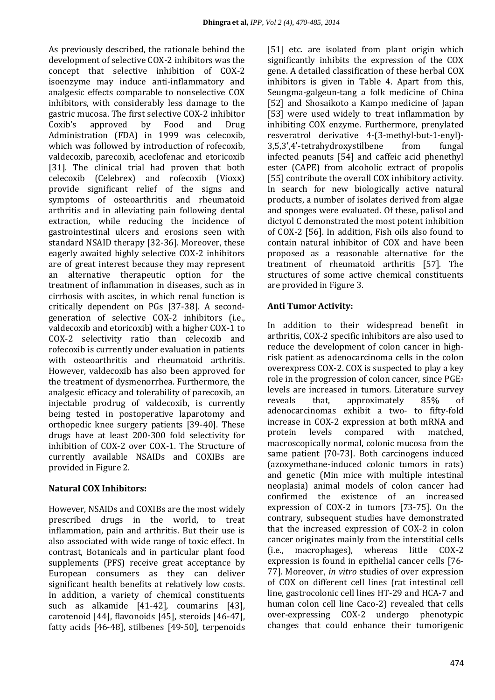As previously described, the rationale behind the development of selective COX-2 inhibitors was the concept that selective inhibition of COX-2 isoenzyme may induce anti-inflammatory and analgesic effects comparable to nonselective COX inhibitors, with considerably less damage to the gastric mucosa. The first selective COX-2 inhibitor Coxib's approved by Food and Drug Administration (FDA) in 1999 was celecoxib, which was followed by introduction of rofecoxib, valdecoxib, parecoxib, aceclofenac and etoricoxib [31]. The clinical trial had proven that both celecoxib (Celebrex) and rofecoxib (Vioxx) provide significant relief of the signs and symptoms of osteoarthritis and rheumatoid arthritis and in alleviating pain following dental extraction, while reducing the incidence of gastrointestinal ulcers and erosions seen with standard NSAID therapy [32-36]. Moreover, these eagerly awaited highly selective COX-2 inhibitors are of great interest because they may represent an alternative therapeutic option for the treatment of inflammation in diseases, such as in cirrhosis with ascites, in which renal function is critically dependent on PGs [37-38]. A secondgeneration of selective COX-2 inhibitors (i.e., valdecoxib and etoricoxib) with a higher COX-1 to COX-2 selectivity ratio than celecoxib and rofecoxib is currently under evaluation in patients with osteoarthritis and rheumatoid arthritis. However, valdecoxib has also been approved for the treatment of dysmenorrhea. Furthermore, the analgesic efficacy and tolerability of parecoxib, an injectable prodrug of valdecoxib, is currently being tested in postoperative laparotomy and orthopedic knee surgery patients [39-40]. These drugs have at least 200-300 fold selectivity for inhibition of COX-2 over COX-1. The Structure of currently available NSAIDs and COXIBs are provided in Figure 2.

## **Natural COX Inhibitors:**

However, NSAIDs and COXIBs are the most widely prescribed drugs in the world, to treat inflammation, pain and arthritis. But their use is also associated with wide range of toxic effect. In contrast, Botanicals and in particular plant food supplements (PFS) receive great acceptance by European consumers as they can deliver significant health benefits at relatively low costs. In addition, a variety of chemical constituents such as alkamide [41-42], coumarins [43], carotenoid [44], flavonoids [45], steroids [46-47], fatty acids [46-48], stilbenes [49-50], terpenoids [51] etc. are isolated from plant origin which significantly inhibits the expression of the COX gene. A detailed classification of these herbal COX inhibitors is given in Table 4. Apart from this, Seungma-galgeun-tang a folk medicine of China [52] and Shosaikoto a Kampo medicine of Japan [53] were used widely to treat inflammation by inhibiting COX enzyme. Furthermore, prenylated resveratrol derivative 4-(3-methyl-but-1-enyl)- 3,5,3′,4′-tetrahydroxystilbene from fungal infected peanuts [54] and caffeic acid phenethyl ester (CAPE) from alcoholic extract of propolis [55] contribute the overall COX inhibitory activity. In search for new biologically active natural products, a number of isolates derived from algae and sponges were evaluated. Of these, palisol and dictyol C demonstrated the most potent inhibition of COX-2 [56]. In addition, Fish oils also found to contain natural inhibitor of COX and have been proposed as a reasonable alternative for the treatment of rheumatoid arthritis [57]. The structures of some active chemical constituents are provided in Figure 3.

## **Anti Tumor Activity:**

In addition to their widespread benefit in arthritis, COX-2 specific inhibitors are also used to reduce the development of colon cancer in highrisk patient as adenocarcinoma cells in the colon overexpress COX-2. COX is suspected to play a key role in the progression of colon cancer, since  $PGE_2$ levels are increased in tumors. Literature survey reveals that, approximately 85% of adenocarcinomas exhibit a two- to fifty-fold increase in COX-2 expression at both mRNA and protein levels compared with matched, macroscopically normal, colonic mucosa from the same patient [70-73]. Both carcinogens induced (azoxymethane-induced colonic tumors in rats) and genetic (Min mice with multiple intestinal neoplasia) animal models of colon cancer had confirmed the existence of an increased expression of COX-2 in tumors [73-75]. On the contrary, subsequent studies have demonstrated that the increased expression of COX-2 in colon cancer originates mainly from the interstitial cells (i.e., macrophages), whereas little COX-2 expression is found in epithelial cancer cells [76- 77]. Moreover, *in vitro* studies of over expression of COX on different cell lines (rat intestinal cell line, gastrocolonic cell lines HT-29 and HCA-7 and human colon cell line Caco-2) revealed that cells over-expressing COX-2 undergo phenotypic changes that could enhance their tumorigenic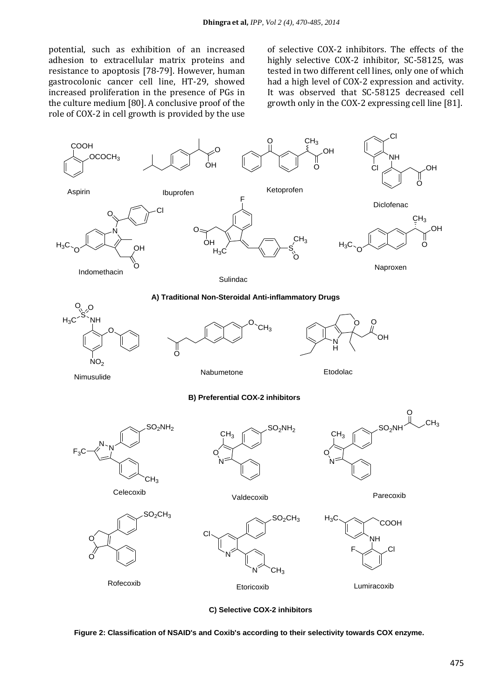potential, such as exhibition of an increased adhesion to extracellular matrix proteins and resistance to apoptosis [78-79]. However, human gastrocolonic cancer cell line, HT-29, showed increased proliferation in the presence of PGs in the culture medium [80]. A conclusive proof of the role of COX-2 in cell growth is provided by the use of selective COX-2 inhibitors. The effects of the highly selective COX-2 inhibitor, SC-58125, was tested in two different cell lines, only one of which had a high level of COX-2 expression and activity. It was observed that SC-58125 decreased cell growth only in the COX-2 expressing cell line [81].



**C) Selective COX-2 inhibitors**

**Figure 2: Classification of NSAID's and Coxib's according to their selectivity towards COX enzyme.**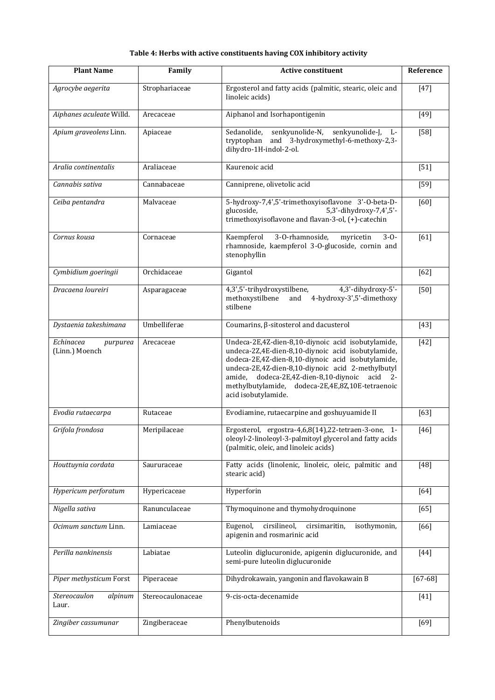#### **Table 4: Herbs with active constituents having COX inhibitory activity**

| <b>Plant Name</b>                              | Family            | <b>Active constituent</b>                                                                                                                                                                                                                                                                                                                       | Reference |
|------------------------------------------------|-------------------|-------------------------------------------------------------------------------------------------------------------------------------------------------------------------------------------------------------------------------------------------------------------------------------------------------------------------------------------------|-----------|
| Agrocybe aegerita                              | Strophariaceae    | Ergosterol and fatty acids (palmitic, stearic, oleic and<br>linoleic acids)                                                                                                                                                                                                                                                                     | $[47]$    |
| Aiphanes aculeate Willd.                       | Arecaceae         | Aiphanol and Isorhapontigenin                                                                                                                                                                                                                                                                                                                   | $[49]$    |
| Apium graveolens Linn.                         | Apiaceae          | senkyunolide-N,<br>Sedanolide,<br>senkyunolide-J, L-<br>tryptophan<br>and 3-hydroxymethyl-6-methoxy-2,3-<br>dihydro-1H-indol-2-ol.                                                                                                                                                                                                              | $[58]$    |
| Aralia continentalis                           | Araliaceae        | Kaurenoic acid                                                                                                                                                                                                                                                                                                                                  | $[51]$    |
| Cannabis sativa                                | Cannabaceae       | Canniprene, olivetolic acid                                                                                                                                                                                                                                                                                                                     | $[59]$    |
| Ceiba pentandra                                | Malvaceae         | 5-hydroxy-7,4',5'-trimethoxyisoflavone 3'-O-beta-D-<br>glucoside,<br>5,3'-dihydroxy-7,4',5'-<br>trimethoxyisoflavone and flavan-3-ol, (+)-catechin                                                                                                                                                                                              | [60]      |
| Cornus kousa                                   | Cornaceae         | 3-O-rhamnoside,<br>Kaempferol<br>myricetin<br>$3 - 0 -$<br>rhamnoside, kaempferol 3-0-glucoside, cornin and<br>stenophyllin                                                                                                                                                                                                                     | [61]      |
| Cymbidium goeringii                            | Orchidaceae       | Gigantol                                                                                                                                                                                                                                                                                                                                        | $[62]$    |
| Dracaena loureiri                              | Asparagaceae      | 4,3',5'-trihydroxystilbene,<br>4,3'-dihydroxy-5'-<br>methoxystilbene<br>and 4-hydroxy-3',5'-dimethoxy<br>stilbene                                                                                                                                                                                                                               | $[50]$    |
| Dystaenia takeshimana                          | Umbelliferae      | Coumarins, β-sitosterol and dacusterol                                                                                                                                                                                                                                                                                                          | $[43]$    |
| Echinacea<br>purpurea<br>(Linn.) Moench        | Arecaceae         | Undeca-2E,4Z-dien-8,10-diynoic acid isobutylamide,<br>undeca-2Z,4E-dien-8,10-diynoic acid isobutylamide,<br>dodeca-2E,4Z-dien-8,10-diynoic acid isobutylamide,<br>undeca-2E,4Z-dien-8,10-diynoic acid 2-methylbutyl<br>amide, dodeca-2E,4Z-dien-8,10-diynoic acid 2-<br>methylbutylamide, dodeca-2E,4E,8Z,10E-tetraenoic<br>acid isobutylamide. | $[42]$    |
| Evodia rutaecarpa                              | Rutaceae          | Evodiamine, rutaecarpine and goshuyuamide II                                                                                                                                                                                                                                                                                                    | $[63]$    |
| Grifola frondosa                               | Meripilaceae      | Ergosterol, ergostra-4,6,8(14),22-tetraen-3-one, 1-<br>oleoyl-2-linoleoyl-3-palmitoyl glycerol and fatty acids<br>(palmitic, oleic, and linoleic acids)                                                                                                                                                                                         | $[46]$    |
| Houttuynia cordata                             | Saururaceae       | Fatty acids (linolenic, linoleic, oleic, palmitic and<br>stearic acid)                                                                                                                                                                                                                                                                          | $[48]$    |
| Hypericum perforatum                           | Hypericaceae      | Hyperforin                                                                                                                                                                                                                                                                                                                                      | [64]      |
| Nigella sativa                                 | Ranunculaceae     | Thymoquinone and thymohydroquinone                                                                                                                                                                                                                                                                                                              | $[65]$    |
| Ocimum sanctum Linn.                           | Lamiaceae         | cirsilineol,<br>Eugenol,<br>cirsimaritin,<br>isothymonin,<br>apigenin and rosmarinic acid                                                                                                                                                                                                                                                       | [66]      |
| Perilla nankinensis                            | Labiatae          | Luteolin diglucuronide, apigenin diglucuronide, and<br>semi-pure luteolin diglucuronide                                                                                                                                                                                                                                                         | $[44]$    |
| Piper methysticum Forst                        | Piperaceae        | Dihydrokawain, yangonin and flavokawain B                                                                                                                                                                                                                                                                                                       | $[67-68]$ |
| Stereocaulon<br>$\overline{al}$ pinum<br>Laur. | Stereocaulonaceae | 9-cis-octa-decenamide                                                                                                                                                                                                                                                                                                                           | $[41]$    |
| Zingiber cassumunar                            | Zingiberaceae     | Phenylbutenoids                                                                                                                                                                                                                                                                                                                                 | $[69]$    |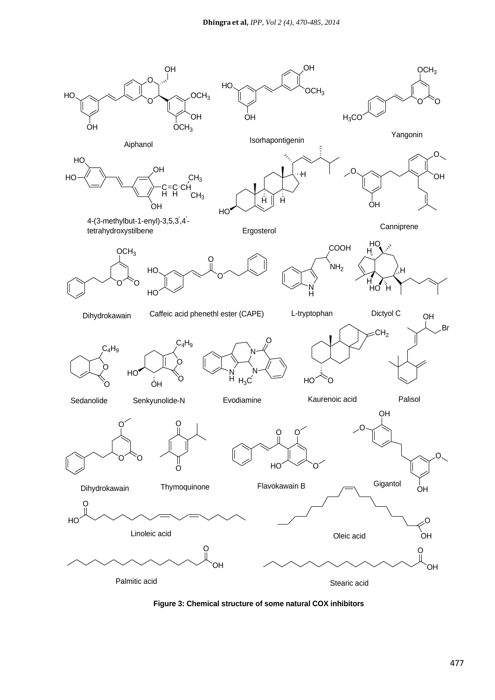

**Figure 3: Chemical structure of some natural COX inhibitors**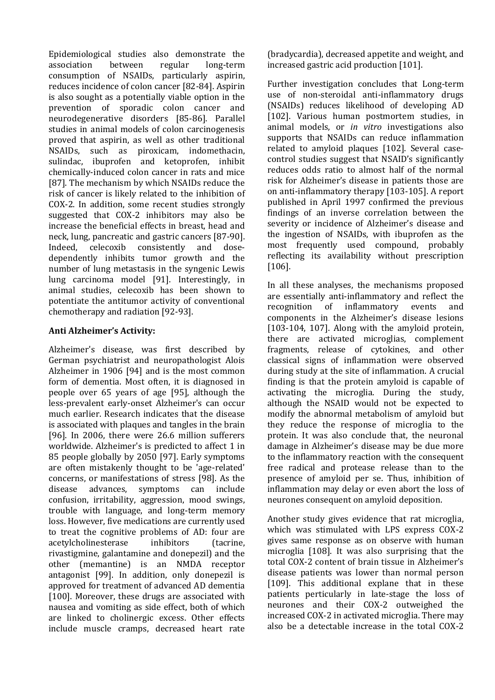Epidemiological studies also demonstrate the association between regular long-term consumption of NSAIDs, particularly aspirin, reduces incidence of colon cancer [82-84]. Aspirin is also sought as a potentially viable option in the prevention of sporadic colon cancer and neurodegenerative disorders [85-86]. Parallel studies in animal models of colon carcinogenesis proved that aspirin, as well as other traditional NSAIDs, such as piroxicam, indomethacin, sulindac, ibuprofen and ketoprofen, inhibit chemically-induced colon cancer in rats and mice [87]. The mechanism by which NSAIDs reduce the risk of cancer is likely related to the inhibition of COX-2. In addition, some recent studies strongly suggested that COX-2 inhibitors may also be increase the beneficial effects in breast, head and neck, lung, pancreatic and gastric cancers [87-90]. Indeed, celecoxib consistently and dosedependently inhibits tumor growth and the number of lung metastasis in the syngenic Lewis lung carcinoma model [91]. Interestingly, in animal studies, celecoxib has been shown to potentiate the antitumor activity of conventional chemotherapy and radiation [92-93].

## **Anti Alzheimer's Activity:**

Alzheimer's disease, was first described by German psychiatrist and neuropathologist Alois Alzheimer in 1906 [94] and is the most common form of dementia. Most often, it is diagnosed in people over 65 years of age [95], although the less-prevalent early-onset Alzheimer's can occur much earlier. Research indicates that the disease is associated with plaques and tangles in the brain [96]. In 2006, there were 26.6 million sufferers worldwide. Alzheimer's is predicted to affect 1 in 85 people globally by 2050 [97]. Early symptoms are often mistakenly thought to be 'age-related' concerns, or manifestations of stress [98]. As the disease advances, symptoms can include confusion, irritability, aggression, mood swings, trouble with language, and long-term memory loss. However, five medications are currently used to treat the cognitive problems of AD: four are acetylcholinesterase inhibitors (tacrine, rivastigmine, galantamine and donepezil) and the other (memantine) is an NMDA receptor antagonist [99]. In addition, only donepezil is approved for treatment of advanced AD dementia [100]. Moreover, these drugs are associated with nausea and vomiting as side effect, both of which are linked to cholinergic excess. Other effects include muscle cramps, decreased heart rate

(bradycardia), decreased appetite and weight, and increased gastric acid production [101].

Further investigation concludes that Long-term use of non-steroidal anti-inflammatory drugs (NSAIDs) reduces likelihood of developing AD [102]. Various human postmortem studies, in animal models, or *in vitro* investigations also supports that NSAIDs can reduce inflammation related to amyloid plaques [102]. Several casecontrol studies suggest that NSAID's significantly reduces odds ratio to almost half of the normal risk for Alzheimer's disease in patients those are on anti-inflammatory therapy [103-105]. A report published in April 1997 confirmed the previous findings of an inverse correlation between the severity or incidence of Alzheimer's disease and the ingestion of NSAIDs, with ibuprofen as the most frequently used compound, probably reflecting its availability without prescription [106].

In all these analyses, the mechanisms proposed are essentially anti-inflammatory and reflect the recognition of inflammatory events and components in the Alzheimer's disease lesions [103-104, 107]. Along with the amyloid protein, there are activated microglias, complement fragments, release of cytokines, and other classical signs of inflammation were observed during study at the site of inflammation. A crucial finding is that the protein amyloid is capable of activating the microglia. During the study, although the NSAID would not be expected to modify the abnormal metabolism of amyloid but they reduce the response of microglia to the protein. It was also conclude that, the neuronal damage in Alzheimer's disease may be due more to the inflammatory reaction with the consequent free radical and protease release than to the presence of amyloid per se. Thus, inhibition of inflammation may delay or even abort the loss of neurones consequent on amyloid deposition.

Another study gives evidence that rat microglia, which was stimulated with LPS express COX-2 gives same response as on observe with human microglia [108]. It was also surprising that the total COX-2 content of brain tissue in Alzheimer's disease patients was lower than normal person [109]. This additional explane that in these patients perticularly in late-stage the loss of neurones and their COX-2 outweighed the increased COX-2 in activated microglia. There may also be a detectable increase in the total COX-2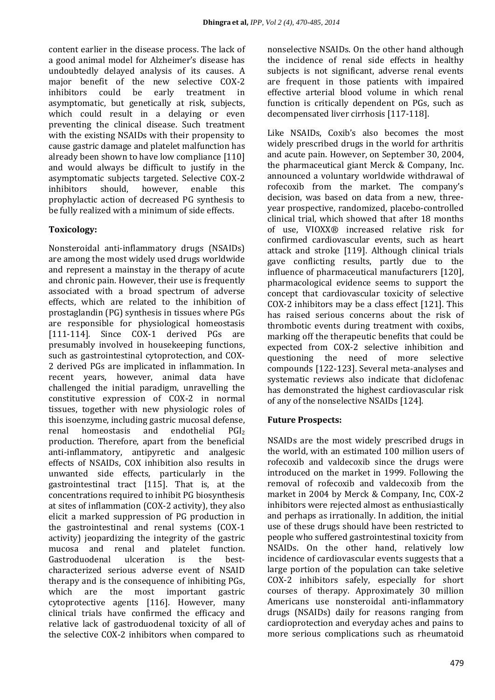content earlier in the disease process. The lack of a good animal model for Alzheimer's disease has undoubtedly delayed analysis of its causes. A major benefit of the new selective COX-2 inhibitors could be early treatment in asymptomatic, but genetically at risk, subjects, which could result in a delaying or even preventing the clinical disease. Such treatment with the existing NSAIDs with their propensity to cause gastric damage and platelet malfunction has already been shown to have low compliance [110] and would always be difficult to justify in the asymptomatic subjects targeted. Selective COX-2 inhibitors should, however, enable this prophylactic action of decreased PG synthesis to be fully realized with a minimum of side effects.

## **Toxicology:**

Nonsteroidal anti-inflammatory drugs (NSAIDs) are among the most widely used drugs worldwide and represent a mainstay in the therapy of acute and chronic pain. However, their use is frequently associated with a broad spectrum of adverse effects, which are related to the inhibition of prostaglandin (PG) synthesis in tissues where PGs are responsible for physiological homeostasis [111-114]. Since COX-1 derived PGs are presumably involved in housekeeping functions, such as gastrointestinal cytoprotection, and COX-2 derived PGs are implicated in inflammation. In recent years, however, animal data have challenged the initial paradigm, unravelling the constitutive expression of COX-2 in normal tissues, together with new physiologic roles of this isoenzyme, including gastric mucosal defense, renal homeostasis and endothelial PGI<sup>2</sup> production. Therefore, apart from the beneficial anti-inflammatory, antipyretic and analgesic effects of NSAIDs, COX inhibition also results in unwanted side effects, particularly in the gastrointestinal tract [115]. That is, at the concentrations required to inhibit PG biosynthesis at sites of inflammation (COX-2 activity), they also elicit a marked suppression of PG production in the gastrointestinal and renal systems (COX-1 activity) jeopardizing the integrity of the gastric mucosa and renal and platelet function. Gastroduodenal ulceration is the bestcharacterized serious adverse event of NSAID therapy and is the consequence of inhibiting PGs, which are the most important gastric cytoprotective agents [116]. However, many clinical trials have confirmed the efficacy and relative lack of gastroduodenal toxicity of all of the selective COX-2 inhibitors when compared to

nonselective NSAIDs. On the other hand although the incidence of renal side effects in healthy subjects is not significant, adverse renal events are frequent in those patients with impaired effective arterial blood volume in which renal function is critically dependent on PGs, such as decompensated liver cirrhosis [117-118].

Like NSAIDs, Coxib's also becomes the most widely prescribed drugs in the world for arthritis and acute pain. However, on September 30, 2004, the pharmaceutical giant Merck & Company, Inc. announced a voluntary worldwide withdrawal of rofecoxib from the market. The company's decision, was based on data from a new, threeyear prospective, randomized, placebo-controlled clinical trial, which showed that after 18 months of use, VIOXX® increased relative risk for confirmed cardiovascular events, such as heart attack and stroke [119]. Although clinical trials gave conflicting results, partly due to the influence of pharmaceutical manufacturers [120], pharmacological evidence seems to support the concept that cardiovascular toxicity of selective COX-2 inhibitors may be a class effect [121]. This has raised serious concerns about the risk of thrombotic events during treatment with coxibs, marking off the therapeutic benefits that could be expected from COX-2 selective inhibition and questioning the need of more selective compounds [122-123]. Several meta-analyses and systematic reviews also indicate that diclofenac has demonstrated the highest cardiovascular risk of any of the nonselective NSAIDs [124].

## **Future Prospects:**

NSAIDs are the most widely prescribed drugs in the world, with an estimated 100 million users of rofecoxib and valdecoxib since the drugs were introduced on the market in 1999. Following the removal of rofecoxib and valdecoxib from the market in 2004 by Merck & Company, Inc, COX-2 inhibitors were rejected almost as enthusiastically and perhaps as irrationally. In addition, the initial use of these drugs should have been restricted to people who suffered gastrointestinal toxicity from NSAIDs. On the other hand, relatively low incidence of cardiovascular events suggests that a large portion of the population can take seletive COX-2 inhibitors safely, especially for short courses of therapy. Approximately 30 million Americans use nonsteroidal anti-inflammatory drugs (NSAIDs) daily for reasons ranging from cardioprotection and everyday aches and pains to more serious complications such as rheumatoid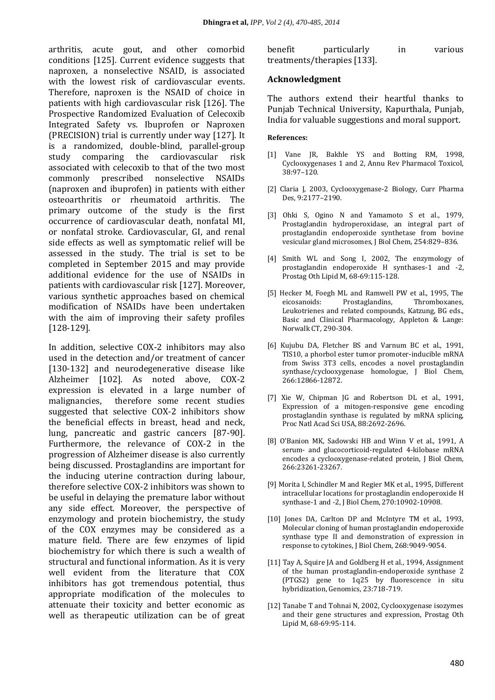arthritis, acute gout, and other comorbid conditions [125]. Current evidence suggests that naproxen, a nonselective NSAID, is associated with the lowest risk of cardiovascular events. Therefore, naproxen is the NSAID of choice in patients with high cardiovascular risk [126]. The Prospective Randomized Evaluation of Celecoxib Integrated Safety vs. Ibuprofen or Naproxen (PRECISION) trial is currently under way [127]. It is a randomized, double-blind, parallel-group study comparing the cardiovascular risk associated with celecoxib to that of the two most commonly prescribed nonselective NSAIDs (naproxen and ibuprofen) in patients with either osteoarthritis or rheumatoid arthritis. The primary outcome of the study is the first occurrence of cardiovascular death, nonfatal MI, or nonfatal stroke. Cardiovascular, GI, and renal side effects as well as symptomatic relief will be assessed in the study. The trial is set to be completed in September 2015 and may provide additional evidence for the use of NSAIDs in patients with cardiovascular risk [127]. Moreover, various synthetic approaches based on chemical modification of NSAIDs have been undertaken with the aim of improving their safety profiles [128-129].

In addition, selective COX-2 inhibitors may also used in the detection and/or treatment of cancer [130-132] and neurodegenerative disease like Alzheimer [102]. As noted above, COX-2 expression is elevated in a large number of malignancies, therefore some recent studies suggested that selective COX-2 inhibitors show the beneficial effects in breast, head and neck, lung, pancreatic and gastric cancers [87-90]. Furthermore, the relevance of COX-2 in the progression of Alzheimer disease is also currently being discussed. Prostaglandins are important for the inducing uterine contraction during labour, therefore selective COX-2 inhibitors was shown to be useful in delaying the premature labor without any side effect. Moreover, the perspective of enzymology and protein biochemistry, the study of the COX enzymes may be considered as a mature field. There are few enzymes of lipid biochemistry for which there is such a wealth of structural and functional information. As it is very well evident from the literature that COX inhibitors has got tremendous potential, thus appropriate modification of the molecules to attenuate their toxicity and better economic as well as therapeutic utilization can be of great

| benefit | particularly                | ın | various |
|---------|-----------------------------|----|---------|
|         | treatments/therapies [133]. |    |         |

#### **Acknowledgment**

The authors extend their heartful thanks to Punjab Technical University, Kapurthala, Punjab, India for valuable suggestions and moral support.

#### **References:**

- [1] Vane JR, Bakhle YS and Botting RM, 1998, Cyclooxygenases 1 and 2, Annu Rev Pharmacol Toxicol, 38:97–120.
- [2] Claria J, 2003, Cyclooxygenase-2 Biology, Curr Pharma Des, 9:2177–2190.
- [3] Ohki S, Ogino N and Yamamoto S et al., 1979, Prostaglandin hydroperoxidase, an integral part of prostaglandin endoperoxide synthetase from bovine vesicular gland microsomes, J Biol Chem, 254:829–836.
- [4] Smith WL and Song I, 2002, The enzymology of prostaglandin endoperoxide H synthases-1 and -2, Prostag Oth Lipid M, 68-69:115-128.
- [5] Hecker M, Foegh ML and Ramwell PW et al., 1995, The eicosanoids: Prostaglandins, Thromboxanes, Leukotrienes and related compounds, Katzung, BG eds., Basic and Clinical Pharmacology, Appleton & Lange: Norwalk CT, 290-304.
- [6] Kujubu DA, Fletcher BS and Varnum BC et al., 1991, TIS10, a phorbol ester tumor promoter-inducible mRNA from Swiss 3T3 cells, encodes a novel prostaglandin synthase/cyclooxygenase homologue, J Biol Chem, 266:12866-12872.
- [7] Xie W, Chipman JG and Robertson DL et al., 1991, Expression of a mitogen-responsive gene encoding prostaglandin synthase is regulated by mRNA splicing, Proc Natl Acad Sci USA, 88:2692-2696.
- [8] O'Banion MK, Sadowski HB and Winn V et al., 1991, A serum- and glucocorticoid-regulated 4-kilobase mRNA encodes a cyclooxygenase-related protein, J Biol Chem, 266:23261-23267.
- [9] Morita I, Schindler M and Regier MK et al., 1995, Different intracellular locations for prostaglandin endoperoxide H synthase-1 and -2, J Biol Chem, 270:10902-10908.
- [10] Jones DA, Carlton DP and McIntyre TM et al., 1993, Molecular cloning of human prostaglandin endoperoxide synthase type II and demonstration of expression in response to cytokines, J Biol Chem, 268:9049-9054.
- [11] Tay A. Squire JA and Goldberg H et al., 1994, Assignment of the human prostaglandin-endoperoxide synthase 2 (PTGS2) gene to 1q25 by fluorescence in situ hybridization, Genomics, 23:718-719.
- [12] Tanabe T and Tohnai N, 2002, Cyclooxygenase isozymes and their gene structures and expression, Prostag Oth Lipid M, 68-69:95-114.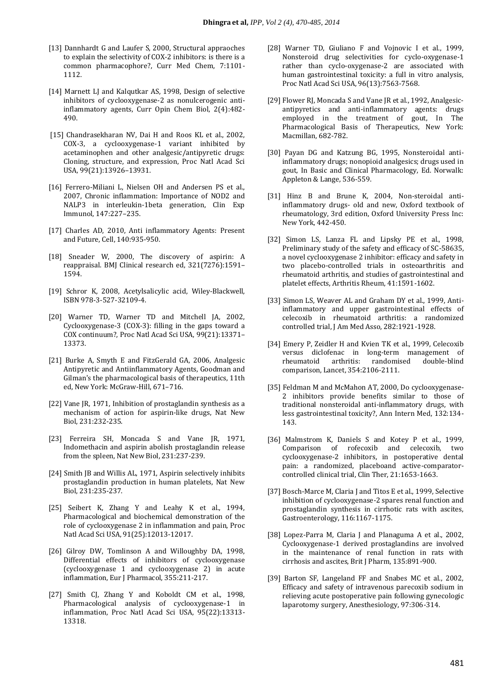- [13] Dannhardt G and Laufer S, 2000, Structural appraoches to explain the selectivity of COX-2 inhibitors: is there is a common pharmacophore?, Curr Med Chem, 7:1101- 1112.
- [14] Marnett LJ and Kalqutkar AS, 1998, Design of selective inhibitors of cyclooxygenase-2 as nonulcerogenic antiinflammatory agents, Curr Opin Chem Biol, 2(4):482- 490.
- [15] Chandrasekharan NV, Dai H and Roos KL et al., 2002, COX-3, a cyclooxygenase-1 variant inhibited by acetaminophen and other analgesic/antipyretic drugs: Cloning, structure, and expression, Proc Natl Acad Sci USA, 99(21):13926–13931.
- [16] Ferrero-Miliani L, Nielsen OH and Andersen PS et al., 2007, Chronic inflammation: Importance of NOD2 and NALP3 in interleukin-1beta generation, Clin Exp Immunol, 147:227–235.
- [17] Charles AD, 2010, Anti inflammatory Agents: Present and Future, Cell, 140:935-950.
- [18] Sneader W, 2000, The discovery of aspirin: A [reappraisal.](http://www.ncbi.nlm.nih.gov/pmc/articles/PMC1119266) BMJ Clinical research ed, 321(7276):1591– 1594.
- [19] Schror K, 2008, [Acetylsalicylic acid,](http://books.google.com/?id=gw6yR6qZe5wC&lpg=PR11) Wiley-Blackwell, [ISBN](http://en.wikipedia.org/wiki/International_Standard_Book_Number) [978-3-527-32109-4.](http://en.wikipedia.org/wiki/Special:BookSources/978-3-527-32109-4)
- [20] Warner TD, Warner TD and Mitchell JA, 2002, Cyclooxygenase-3 (COX-3): filling in the gaps toward a COX continuum?, Proc Natl Acad Sci USA, 99(21):13371– 13373.
- [21] Burke A, Smyth E and FitzGerald GA, 2006, Analgesic Antipyretic and Antiinflammatory Agents, Goodman and Gilman's the pharmacological basis of therapeutics, 11th ed, New York: McGraw-Hill, 671–716.
- [22] Vane JR, 1971, Inhibition of prostaglandin synthesis as a mechanism of action for aspirin-like drugs, Nat New Biol, 231:232-235.
- [23] Ferreira SH, Moncada S and Vane JR, 1971, Indomethacin and aspirin abolish prostaglandin release from the spleen, Nat New Biol, 231:237-239.
- [24] Smith JB and Willis AL, 1971, Aspirin selectively inhibits prostaglandin production in human platelets, Nat New Biol, 231:235-237.
- [25] Seibert K, Zhang Y and Leahy K et al., 1994, Pharmacological and biochemical demonstration of the role of cyclooxygenase 2 in inflammation and pain, Proc Natl Acad Sci USA, 91(25):12013-12017.
- [26] Gilroy DW, Tomlinson A and Willoughby DA, 1998, Differential effects of inhibitors of cyclooxygenase (cyclooxygenase 1 and cyclooxygenase 2) in acute inflammation, Eur J Pharmacol, 355:211-217.
- [27] Smith CJ, Zhang Y and Koboldt CM et al., 1998, Pharmacological analysis of cyclooxygenase-1 in inflammation, Proc Natl Acad Sci USA, 95(22):13313- 13318.
- [28] Warner TD, Giuliano F and Vojnovic I et al., 1999, Nonsteroid drug selectivities for cyclo-oxygenase-1 rather than cyclo-oxygenase-2 are associated with human gastrointestinal toxicity: a full in vitro analysis, Proc Natl Acad Sci USA, 96(13):7563-7568.
- [29] Flower RJ, Moncada S and Vane JR et al., 1992, Analgesicantipyretics and anti-inflammatory agents: drugs employed in the treatment of gout, In The Pharmacological Basis of Therapeutics, New York: Macmillan, 682-782.
- [30] Payan DG and Katzung BG, 1995, Nonsteroidal antiinflammatory drugs; nonopioid analgesics; drugs used in gout, In Basic and Clinical Pharmacology, Ed. Norwalk: Appleton & Lange, 536-559.
- [31] Hinz B and Brune K, 2004, Non-steroidal antiinflammatory drugs- old and new, Oxford textbook of rheumatology, 3rd edition, Oxford University Press Inc: New York, 442-450.
- [32] Simon LS, Lanza FL and Lipsky PE et al., 1998, Preliminary study of the safety and efficacy of SC-58635, a novel cyclooxygenase 2 inhibitor: efficacy and safety in two placebo-controlled trials in osteoarthritis and rheumatoid arthritis, and studies of gastrointestinal and platelet effects, Arthritis Rheum, 41:1591-1602.
- [33] Simon LS, Weaver AL and Graham DY et al., 1999, Antiinflammatory and upper gastrointestinal effects of celecoxib in rheumatoid arthritis: a randomized controlled trial, J Am Med Asso, 282:1921-1928.
- [34] Emery P, Zeidler H and Kvien TK et al., 1999, Celecoxib versus diclofenac in long-term management of rheumatoid arthritis: randomised double-blind comparison, Lancet, 354:2106-2111.
- [35] Feldman M and McMahon AT, 2000, Do cyclooxygenase-2 inhibitors provide benefits similar to those of traditional nonsteroidal anti-inflammatory drugs, with less gastrointestinal toxicity?, Ann Intern Med, 132:134- 143.
- [36] Malmstrom K, Daniels S and Kotey P et al., 1999, Comparison of rofecoxib and celecoxib, two cyclooxygenase-2 inhibitors, in postoperative dental pain: a randomized, placeboand active-comparatorcontrolled clinical trial, Clin Ther, 21:1653-1663.
- [37] Bosch-Marce M, Claria J and Titos E et al., 1999, Selective inhibition of cyclooxygenase-2 spares renal function and prostaglandin synthesis in cirrhotic rats with ascites, Gastroenterology, 116:1167-1175.
- [38] Lopez-Parra M, Claria J and Planaguma A et al., 2002. Cyclooxygenase-1 derived prostaglandins are involved in the maintenance of renal function in rats with cirrhosis and ascites, Brit J Pharm, 135:891-900.
- [39] Barton SF, Langeland FF and Snabes MC et al., 2002, Efficacy and safety of intravenous parecoxib sodium in relieving acute postoperative pain following gynecologic laparotomy surgery, Anesthesiology, 97:306-314.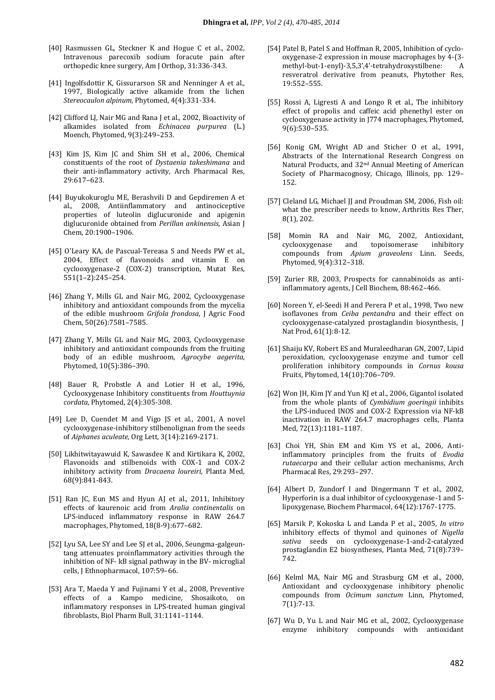- [40] Rasmussen GL, Steckner K and Hogue C et al., 2002, Intravenous parecoxib sodium foracute pain after orthopedic knee surgery, Am J Orthop, 31:336-343.
- [41] Ingolfsdottir K, Gissurarson SR and Nenninger A et al., 1997, Biologically active alkamide from the lichen *Stereocaulon alpinum*, Phytomed, 4(4):331-334.
- [42] Clifford LJ, Nair MG and Rana J et al., 2002, Bioactivity of alkamides isolated from *Echinacea purpurea* (L.) Moench, Phytomed, 9(3):249–253.
- [43] Kim JS, Kim JC and Shim SH et al., 2006, Chemical constituents of the root of *Dystaenia takeshimana* and their anti-inflammatory activity, Arch Pharmacal Res, 29:617–623.
- [44] Buyukokuroglu ME, Berashvili D and Gepdiremen A et al., 2008, Antiinflammatory and antinociceptive properties of luteolin diglucuronide and apigenin diglucuronide obtained from *Perillan ankinensis*, Asian J Chem, 20:1900–1906.
- [45] O'Leary KA, de Pascual-Tereasa S and Needs PW et al., 2004, Effect of flavonoids and vitamin E on cyclooxygenase-2 (COX-2) transcription, Mutat Res, 551(1–2):245–254.
- [46] Zhang Y, Mills GL and Nair MG, 2002, Cyclooxygenase inhibitory and antioxidant compounds from the mycelia of the edible mushroom *Grifola frondosa*, J Agric Food Chem, 50(26):7581–7585.
- [47] Zhang Y, Mills GL and Nair MG, 2003, Cyclooxygenase inhibitory and antioxidant compounds from the fruiting body of an edible mushroom, *Agrocybe aegerita*, Phytomed, 10(5):386–390.
- [48] Bauer R, Probstle A and Lotier H et al., 1996, Cyclooxygenase Inhibitory constituents from *Houttuynia cordata*, Phytomed, 2(4):305-308.
- [49] Lee D, Cuendet M and Vigo JS et al., 2001, A novel cyclooxygenase-inhibitory stilbenolignan from the seeds of *Aiphanes aculeate,* Org Lett, 3(14):2169-2171.
- [50] Likhitwitayawuid K, Sawasdee K and Kirtikara K, 2002, Flavonoids and stilbenoids with COX-1 and COX-2 inhibitory activity from *Dracaena loureiri,* Planta Med, 68(9):841-843.
- [51] Ran JC, Eun MS and Hyun AJ et al., 2011, Inhibitory effects of kaurenoic acid from *Aralia continentalis* on LPS-induced inflammatory response in RAW 264.7 macrophages, Phytomed, 18(8-9):677–682.
- [52] Lyu SA, Lee SY and Lee SJ et al., 2006, Seungma-galgeuntang attenuates proinflammatory activities through the inhibition of NF- kB signal pathway in the BV- microglial cells, J Ethnopharmacol, 107:59–66.
- [53] Ara T, Maeda Y and Fujinami Y et al., 2008, Preventive effects of a Kampo medicine, Shosaikoto, on inflammatory responses in LPS-treated human gingival fibroblasts, Biol Pharm Bull, 31:1141–1144.
- [54] Patel B, Patel S and Hoffman R, 2005, Inhibition of cyclooxygenase-2 expression in mouse macrophages by 4-(3 methyl-but-1-enyl)-3,5,3',4'-tetrahydroxystilbene: A resveratrol derivative from peanuts, Phytother Res, 19:552–555.
- [55] Rossi A, Ligresti A and Longo R et al., The inhibitory effect of propolis and caffeic acid phenethyl ester on cyclooxygenase activity in J774 macrophages, Phytomed, 9(6):530–535.
- [56] Konig GM, Wright AD and Sticher O et al., 1991, Abstracts of the International Research Congress on Natural Products, and 32nd Annual Meeting of American Society of Pharmacognosy, Chicago, Illinois, pp. 129– 152.
- [57] Cleland LG, Michael JJ and Proudman SM, 2006, Fish oil: what the prescriber needs to know, Arthritis Res Ther, 8(1), 202.
- [58] Momin RA and Nair MG, 2002, Antioxidant, cyclooxygenase and topoisomerase inhibitory compounds from *Apium graveolens* Linn. Seeds, Phytomed, 9(4):312–318.
- [59] Zurier RB, 2003, Prospects for cannabinoids as antiinflammatory agents, J Cell Biochem, 88:462–466.
- [60] Noreen Y, el-Seedi H and Perera P et al., 1998, Two new isoflavones from *Ceiba pentandra* and their effect on cyclooxygenase-catalyzed prostaglandin biosynthesis, J Nat Prod, 61(1):8-12.
- [61] Shaiju KV, Robert ES and Muraleedharan GN, 2007, Lipid peroxidation, cyclooxygenase enzyme and tumor cell proliferation inhibitory compounds in *Cornus kousa* Fruits, Phytomed, 14(10):706–709.
- [62] Won JH, Kim JY and Yun KJ et al., 2006, Gigantol isolated from the whole plants of *Cymbidium goeringii* inhibits the LPS-induced INOS and COX-2 Expression via NF-kB inactivation in RAW 264.7 macrophages cells, Planta Med, 72(13):1181–1187.
- [63] Choi YH, Shin EM and Kim YS et al., 2006, Antiinflammatory principles from the fruits of *Evodia rutaecarpa* and their cellular action mechanisms, Arch Pharmacal Res, 29:293–297.
- [64] Albert D, Zundorf I and Dingermann T et al., 2002, Hyperforin is a dual inhibitor of cyclooxygenase-1 and 5 lipoxygenase, Biochem Pharmacol, 64(12):1767-1775.
- [65] Marsik P, Kokoska L and Landa P et al., 2005, *In vitro* inhibitory effects of thymol and quinones of *Nigella sativa* seeds on cyclooxygenase-1-and-2-catalyzed prostaglandin E2 biosyntheses, Planta Med, 71(8):739– 742.
- [66] Kelml MA, Nair MG and Strasburg GM et al., 2000, Antioxidant and cyclooxygenase inhibitory phenolic compounds from *Ocimum sanctum* Linn, Phytomed, 7(1):7-13.
- [67] Wu D, Yu L and Nair MG et al., 2002, Cyclooxygenase enzyme inhibitory compounds with antioxidant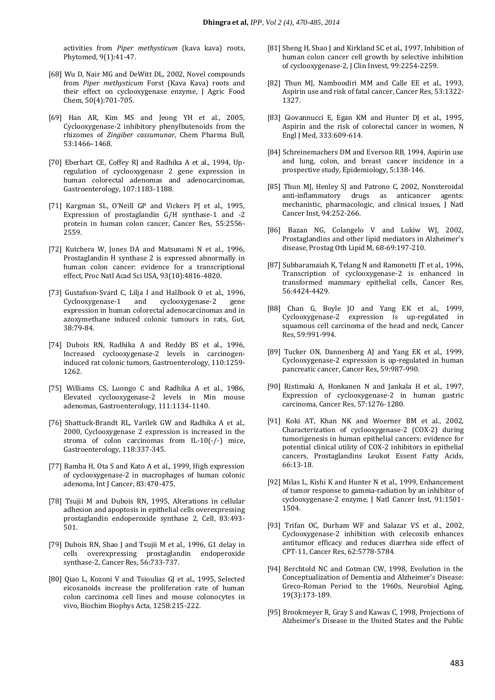activities from *Piper methysticum* (kava kava) roots, Phytomed, 9(1):41-47.

- [68] Wu D, Nair MG and DeWitt DL, 2002, Novel compounds from *Piper methysticum* Forst (Kava Kava) roots and their effect on cyclooxygenase enzyme, J Agric Food Chem, 50(4):701-705.
- [69] Han AR, Kim MS and Jeong YH et al., 2005, Cyclooxygenase-2 inhibitory phenylbutenoids from the rhizomes of *Zingiber cassumunar*, Chem Pharma Bull, 53:1466–1468.
- [70] Eberhart CE, Coffey RJ and Radhika A et al., 1994, Upregulation of cyclooxygenase 2 gene expression in human colorectal adenomas and adenocarcinomas, Gastroenterology, 107:1183-1188.
- [71] Kargman SL, O'Neill GP and Vickers PJ et al., 1995, Expression of prostaglandin G/H synthase-1 and -2 protein in human colon cancer, Cancer Res, 55:2556- 2559.
- [72] Kutchera W, Jones DA and Matsunami N et al., 1996, Prostaglandin H synthase 2 is expressed abnormally in human colon cancer: evidence for a transcriptional effect, Proc Natl Acad Sci USA, 93(10):4816-4820.
- [73] Gustafson-Svard C, Lilja I and Hallbook O et al., 1996, Cyclooxygenase-1 and cyclooxygenase-2 gene expression in human colorectal adenocarcinomas and in azoxymethane induced colonic tumours in rats, Gut, 38:79-84.
- [74] Dubois RN, Radhika A and Reddy BS et al., 1996, Increased cyclooxygenase-2 levels in carcinogeninduced rat colonic tumors, Gastroenterology, 110:1259- 1262.
- [75] Williams CS, Luongo C and Radhika A et al., 1986, Elevated cyclooxygenase-2 levels in Min mouse adenomas, Gastroenterology, 111:1134-1140.
- [76] Shattuck-Brandt RL, Varilek GW and Radhika A et al., 2000, Cyclooxygenase 2 expression is increased in the stroma of colon carcinomas from IL-10(-/-) mice, Gastroenterology, 118:337-345.
- [77] Bamba H, Ota S and Kato A et al., 1999, High expression of cyclooxygenase-2 in macrophages of human colonic adenoma, Int J Cancer, 83:470-475.
- [78] Tsujii M and Dubois RN, 1995, Alterations in cellular adhesion and apoptosis in epithelial cells overexpressing prostaglandin endoperoxide synthase 2, Cell, 83:493- 501.
- [79] Dubois RN, Shao J and Tsujii M et al., 1996, G1 delay in cells overexpressing prostaglandin endoperoxide synthase-2, Cancer Res, 56:733-737.
- [80] Oiao L, Kozoni V and Tsioulias GJ et al., 1995, Selected eicosanoids increase the proliferation rate of human colon carcinoma cell lines and mouse colonocytes in vivo, Biochim Biophys Acta, 1258:215-222.
- [81] Sheng H, Shao J and Kirkland SC et al., 1997, Inhibition of human colon cancer cell growth by selective inhibition of cyclooxygenase-2, J Clin Invest, 99:2254-2259.
- [82] Thun MJ, Namboodiri MM and Calle EE et al., 1993, Aspirin use and risk of fatal cancer, Cancer Res, 53:1322- 1327.
- [83] Giovannucci E, Egan KM and Hunter DJ et al., 1995, Aspirin and the risk of colorectal cancer in women, N Engl J Med, 333:609-614.
- [84] Schreinemachers DM and Everson RB, 1994, Aspirin use and lung, colon, and breast cancer incidence in a prospective study, Epidemiology, 5:138-146.
- [85] Thun MJ, Henley SJ and Patrono C, 2002, Nonsteroidal anti-inflammatory drugs as anticancer agents: mechanistic, pharmacologic, and clinical issues, J Natl Cancer Inst, 94:252-266.
- [86] Bazan NG, Colangelo V and Lukiw WJ, 2002, Prostaglandins and other lipid mediators in Alzheimer's disease, Prostag Oth Lipid M, 68-69:197-210.
- [87] Subbaramaiah K, Telang N and Ramonetti JT et al., 1996, Transcription of cyclooxygenase-2 is enhanced in transformed mammary epithelial cells, Cancer Res, 56:4424-4429.
- [88] Chan G, Boyle JO and Yang EK et al., 1999, Cyclooxygenase-2 expression is up-regulated in squamous cell carcinoma of the head and neck, Cancer Res, 59:991-994.
- [89] Tucker ON, Dannenberg AJ and Yang EK et al., 1999, Cyclooxygenase-2 expression is up-regulated in human pancreatic cancer, Cancer Res, 59:987-990.
- [90] Ristimaki A, Honkanen N and Jankala H et al., 1997, Expression of cyclooxygenase-2 in human gastric carcinoma, Cancer Res, 57:1276-1280.
- [91] Koki AT, Khan NK and Woerner BM et al., 2002, Characterization of cyclooxygenase-2 (COX-2) during tumorigenesis in human epithelial cancers: evidence for potential clinical utility of COX-2 inhibitors in epithelial cancers, Prostaglandins Leukot Essent Fatty Acids, 66:13-18.
- [92] Milas L, Kishi K and Hunter N et al., 1999, Enhancement of tumor response to gamma-radiation by an inhibitor of cyclooxygenase-2 enzyme, J Natl Cancer Inst, 91:1501- 1504.
- [93] Trifan OC, Durham WF and Salazar VS et al., 2002, Cyclooxygenase-2 inhibition with celecoxib enhances antitumor efficacy and reduces diarrhea side effect of CPT-11, Cancer Res, 62:5778-5784.
- [94] Berchtold NC and Cotman CW, 1998, Evolution in the Conceptualization of Dementia and Alzheimer's Disease: Greco-Roman Period to the 1960s, Neurobiol Aging, 19(3):173-189.
- [95] Brookmeyer R, Gray S and Kawas C, 1998, Projections of Alzheimer's Disease in the United States and the Public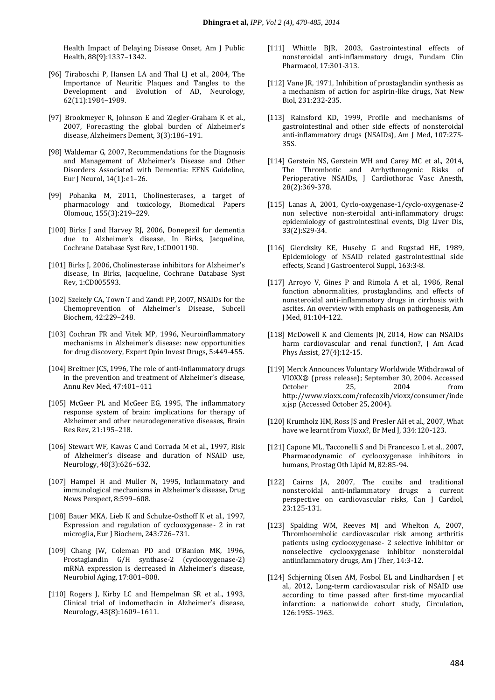Health Impact of Delaying Disease Onset, Am J Public Health, 88(9):1337–1342.

- [96] Tiraboschi P, Hansen LA and Thal LJ et al., 2004, The Importance of Neuritic Plaques and Tangles to the Development and Evolution of AD, Neurology, 62(11):1984–1989.
- [97] Brookmeyer R, Johnson E and Ziegler-Graham K et al., 2007, Forecasting the global burden of Alzheimer's disease, Alzheimers Dement, 3(3):186–191.
- [98] Waldemar G, 2007, Recommendations for the Diagnosis and Management of Alzheimer's Disease and Other Disorders Associated with Dementia: EFNS Guideline, Eur J Neurol, 14(1):e1–26.
- [99] Pohanka M, 2011, Cholinesterases, a target of pharmacology and toxicology, Biomedical Papers Olomouc, 155(3):219–229.
- [100] Birks J and Harvey RJ, 2006, Donepezil for dementia due to Alzheimer's disease, In Birks, Jacqueline, Cochrane Database Syst Rev, 1:CD001190.
- [101] Birks J, 2006, Cholinesterase inhibitors for Alzheimer's disease, In Birks, Jacqueline, Cochrane Database Syst Rev, 1:CD005593.
- [102] Szekely CA, Town T and Zandi PP, 2007, NSAIDs for the Chemoprevention of Alzheimer's Disease, Subcell Biochem, 42:229–248.
- [103] Cochran FR and Vitek MP, 1996, Neuroinflammatory mechanisms in Alzheimer's disease: new opportunities for drug discovery, Expert Opin Invest Drugs, 5:449-455.
- [104] Breitner JCS, 1996, The role of anti-inflammatory drugs in the prevention and treatment of Alzheimer's disease, Annu Rev Med, 47:401–411
- [105] McGeer PL and McGeer EG, 1995, The inflammatory response system of brain: implications for therapy of Alzheimer and other neurodegenerative diseases, Brain Res Rev, 21:195–218.
- [106] Stewart WF, Kawas C and Corrada M et al., 1997, Risk of Alzheimer's disease and duration of NSAID use, Neurology, 48(3):626–632.
- [107] Hampel H and Muller N, 1995, Inflammatory and immunological mechanisms in Alzheimer's disease, Drug News Perspect, 8:599–608.
- [108] Bauer MKA, Lieb K and Schulze-Osthoff K et al., 1997, Expression and regulation of cyclooxygenase- 2 in rat microglia, Eur J Biochem, 243:726–731.
- [109] Chang JW, Coleman PD and O'Banion MK, 1996, Prostaglandin G/H synthase-2 (cyclooxygenase-2) mRNA expression is decreased in Alzheimer's disease, Neurobiol Aging, 17:801–808.
- [110] Rogers J, Kirby LC and Hempelman SR et al., 1993, Clinical trial of indomethacin in Alzheimer's disease, Neurology, 43(8):1609–1611.
- [111] Whittle BJR, 2003, Gastrointestinal effects of nonsteroidal anti-inflammatory drugs, Fundam Clin Pharmacol, 17:301-313.
- [112] Vane JR, 1971, Inhibition of prostaglandin synthesis as a mechanism of action for aspirin-like drugs, Nat New Biol, 231:232-235.
- [113] Rainsford KD, 1999, Profile and mechanisms of gastrointestinal and other side effects of nonsteroidal anti-inflammatory drugs (NSAIDs), Am J Med, 107:27S-35S.
- [114] Gerstein NS, Gerstein WH and Carey MC et al., 2014, The Thrombotic and Arrhythmogenic Risks of Perioperative NSAIDs, J Cardiothorac Vasc Anesth, 28(2):369-378.
- [115] Lanas A, 2001, Cyclo-oxygenase-1/cyclo-oxygenase-2 non selective non-steroidal anti-inflammatory drugs: epidemiology of gastrointestinal events, Dig Liver Dis, 33(2):S29-34.
- [116] Giercksky KE, Huseby G and Rugstad HE, 1989, Epidemiology of NSAID related gastrointestinal side effects, Scand J Gastroenterol Suppl, 163:3-8.
- [117] Arroyo V, Gines P and Rimola A et al., 1986, Renal function abnormalities, prostaglandins, and effects of nonsteroidal anti-inflammatory drugs in cirrhosis with ascites. An overview with emphasis on pathogenesis, Am J Med, 81:104-122.
- [118] McDowell K and Clements JN, 2014, How can NSAIDs harm cardiovascular and renal function?, J Am Acad Phys Assist, 27(4):12-15.
- [119] Merck Announces Voluntary Worldwide Withdrawal of VIOXX® (press release); September 30, 2004. Accessed October 25, 2004 from [http://www.vioxx.com/rofecoxib/vioxx/consumer/inde](http://www.vioxx.com/rofecoxib/vioxx/consumer/index.jsp) [x.jsp](http://www.vioxx.com/rofecoxib/vioxx/consumer/index.jsp) (Accessed October 25, 2004).
- [120] Krumholz HM, Ross JS and Presler AH et al., 2007, What have we learnt from Vioxx?, Br Med J, 334:120-123.
- [121] Capone ML, Tacconelli S and Di Francesco L et al., 2007, Pharmacodynamic of cyclooxygenase inhibitors in humans, Prostag Oth Lipid M, 82:85-94.
- [122] Cairns JA, 2007, The coxibs and traditional nonsteroidal anti-inflammatory drugs: a current perspective on cardiovascular risks, Can J Cardiol, 23:125-131.
- [123] Spalding WM, Reeves MJ and Whelton A, 2007, Thromboembolic cardiovascular risk among arthritis patients using cyclooxygenase- 2 selective inhibitor or nonselective cyclooxygenase inhibitor nonsteroidal antiinflammatory drugs, Am J Ther, 14:3-12.
- [124] Schjerning Olsen AM, Fosbol EL and Lindhardsen J et al., 2012, Long-term cardiovascular risk of NSAID use according to time passed after first-time myocardial infarction: a nationwide cohort study, Circulation, 126:1955-1963.